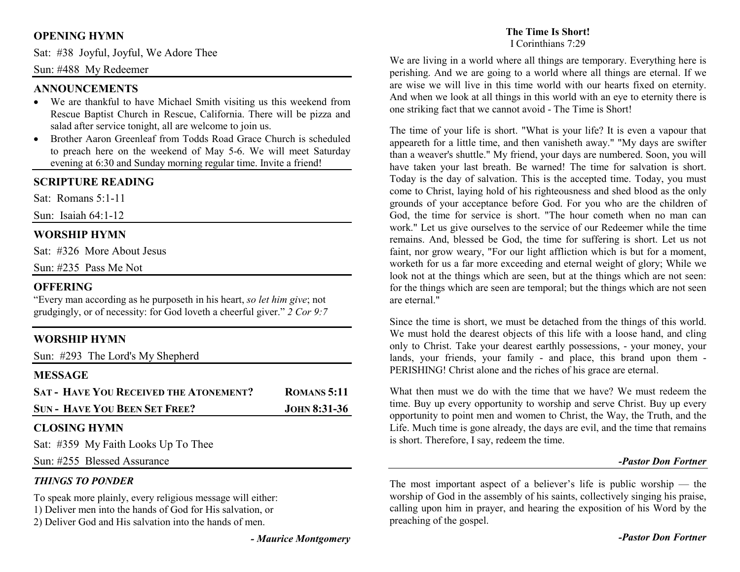# **OPENING HYMN**

Sat: #38 Joyful, Joyful, We Adore Thee

### Sun: #488 My Redeemer

### **ANNOUNCEMENTS**

- We are thankful to have Michael Smith visiting us this weekend from Rescue Baptist Church in Rescue, California. There will be pizza and salad after service tonight, all are welcome to join us.
- Brother Aaron Greenleaf from Todds Road Grace Church is scheduled •to preach here on the weekend of May 5-6. We will meet Saturday evening at 6:30 and Sunday morning regular time. Invite a friend!

## **SCRIPTURE READING**

Sat: Romans 5:1-11

Sun: Isaiah 64:1-12

## **WORSHIP HYMN**

Sat: #326 More About Jesus

Sun: #235 Pass Me Not

#### **OFFERING**

 "Every man according as he purposeth in his heart, *so let him give*; not grudgingly, or of necessity: for God loveth a cheerful giver." *2 Cor 9:7*

# **WORSHIP HYMN**

Sun: #293 The Lord's My Shepherd

### **MESSAGE**

| <b>SAT - HAVE YOU RECEIVED THE ATONEMENT?</b> | <b>ROMANS</b> 5:11 |
|-----------------------------------------------|--------------------|
| <b>SUN - HAVE YOU BEEN SET FREE?</b>          | $JOHN 8:31-36$     |
|                                               |                    |

# **CLOSING HYMN**

Sat: #359 My Faith Looks Up To Thee

Sun: #255 Blessed Assurance

# *THINGS TO PONDER*

To speak more plainly, every religious message will either:

- 1) Deliver men into the hands of God for His salvation, or
- 2) Deliver God and His salvation into the hands of men.

# **The Time Is Short!**

I Corinthians 7:29

We are living in a world where all things are temporary. Everything here is perishing. And we are going to a world where all things are eternal. If we are wise we will live in this time world with our hearts fixed on eternity. And when we look at all things in this world with an eye to eternity there is one striking fact that we cannot avoid - The Time is Short!

The time of your life is short. "What is your life? It is even a vapour that appeareth for a little time, and then vanisheth away." "My days are swifter than a weaver's shuttle." My friend, your days are numbered. Soon, you will have taken your last breath. Be warned! The time for salvation is short. Today is the day of salvation. This is the accepted time. Today, you must come to Christ, laying hold of his righteousness and shed blood as the only grounds of your acceptance before God. For you who are the children of God, the time for service is short. "The hour cometh when no man can work." Let us give ourselves to the service of our Redeemer while the time remains. And, blessed be God, the time for suffering is short. Let us not faint, nor grow weary, "For our light affliction which is but for a moment, worketh for us a far more exceeding and eternal weight of glory; While we look not at the things which are seen, but at the things which are not seen: for the things which are seen are temporal; but the things which are not seen are eternal."

Since the time is short, we must be detached from the things of this world. We must hold the dearest objects of this life with a loose hand, and cling only to Christ. Take your dearest earthly possessions, - your money, your lands, your friends, your family - and place, this brand upon them -PERISHING! Christ alone and the riches of his grace are eternal.

What then must we do with the time that we have? We must redeem the time. Buy up every opportunity to worship and serve Christ. Buy up every opportunity to point men and women to Christ, the Way, the Truth, and the Life. Much time is gone already, the days are evil, and the time that remains is short. Therefore, I say, redeem the time.

#### *-Pastor Don Fortner*

The most important aspect of a believer's life is public worship — the worship of God in the assembly of his saints, collectively singing his praise, calling upon him in prayer, and hearing the exposition of his Word by the preaching of the gospel.